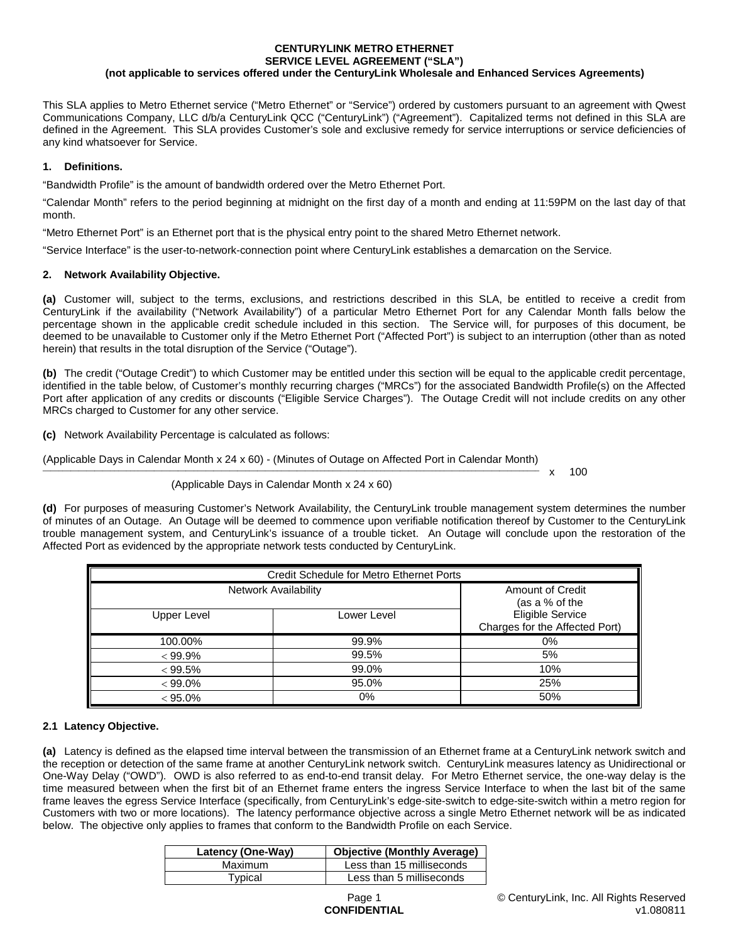#### **CENTURYLINK METRO ETHERNET SERVICE LEVEL AGREEMENT ("SLA") (not applicable to services offered under the CenturyLink Wholesale and Enhanced Services Agreements)**

This SLA applies to Metro Ethernet service ("Metro Ethernet" or "Service") ordered by customers pursuant to an agreement with Qwest Communications Company, LLC d/b/a CenturyLink QCC ("CenturyLink") ("Agreement"). Capitalized terms not defined in this SLA are defined in the Agreement. This SLA provides Customer's sole and exclusive remedy for service interruptions or service deficiencies of any kind whatsoever for Service.

# **1. Definitions.**

"Bandwidth Profile" is the amount of bandwidth ordered over the Metro Ethernet Port.

"Calendar Month" refers to the period beginning at midnight on the first day of a month and ending at 11:59PM on the last day of that month.

"Metro Ethernet Port" is an Ethernet port that is the physical entry point to the shared Metro Ethernet network.

"Service Interface" is the user-to-network-connection point where CenturyLink establishes a demarcation on the Service.

## **2. Network Availability Objective.**

**(a)** Customer will, subject to the terms, exclusions, and restrictions described in this SLA, be entitled to receive a credit from CenturyLink if the availability ("Network Availability") of a particular Metro Ethernet Port for any Calendar Month falls below the percentage shown in the applicable credit schedule included in this section. The Service will, for purposes of this document, be deemed to be unavailable to Customer only if the Metro Ethernet Port ("Affected Port") is subject to an interruption (other than as noted herein) that results in the total disruption of the Service ("Outage").

**(b)** The credit ("Outage Credit") to which Customer may be entitled under this section will be equal to the applicable credit percentage, identified in the table below, of Customer's monthly recurring charges ("MRCs") for the associated Bandwidth Profile(s) on the Affected Port after application of any credits or discounts ("Eligible Service Charges"). The Outage Credit will not include credits on any other MRCs charged to Customer for any other service.

**(c)** Network Availability Percentage is calculated as follows:

(Applicable Days in Calendar Month x 24 x 60) - (Minutes of Outage on Affected Port in Calendar Month) \_\_\_\_\_\_\_\_\_\_\_\_\_\_\_\_\_\_\_\_\_\_\_\_\_\_\_\_\_\_\_\_\_\_\_\_\_\_\_\_\_\_\_\_\_\_\_\_\_\_\_\_\_\_\_\_\_\_\_\_\_\_\_\_\_\_\_\_\_\_\_\_\_\_\_\_\_\_\_\_\_\_\_\_\_\_\_\_\_\_\_\_\_\_\_\_\_\_\_\_\_\_\_\_\_\_\_\_\_\_\_\_\_\_\_\_\_\_\_\_\_\_\_\_\_ x 100

(Applicable Days in Calendar Month x 24 x 60)

**(d)** For purposes of measuring Customer's Network Availability, the CenturyLink trouble management system determines the number of minutes of an Outage. An Outage will be deemed to commence upon verifiable notification thereof by Customer to the CenturyLink trouble management system, and CenturyLink's issuance of a trouble ticket. An Outage will conclude upon the restoration of the Affected Port as evidenced by the appropriate network tests conducted by CenturyLink.

| Credit Schedule for Metro Ethernet Ports |             |                                                           |  |
|------------------------------------------|-------------|-----------------------------------------------------------|--|
| <b>Network Availability</b>              |             | Amount of Credit<br>(as a % of the                        |  |
| Upper Level                              | Lower Level | <b>Eligible Service</b><br>Charges for the Affected Port) |  |
| 100.00%                                  | 99.9%       | 0%                                                        |  |
| $< 99.9\%$                               | 99.5%       | 5%                                                        |  |
| < 99.5%                                  | 99.0%       | 10%                                                       |  |
| $< 99.0\%$                               | 95.0%       | 25%                                                       |  |
| $< 95.0\%$                               | 0%          | 50%                                                       |  |

## **2.1 Latency Objective.**

**(a)** Latency is defined as the elapsed time interval between the transmission of an Ethernet frame at a CenturyLink network switch and the reception or detection of the same frame at another CenturyLink network switch. CenturyLink measures latency as Unidirectional or One-Way Delay ("OWD"). OWD is also referred to as end-to-end transit delay. For Metro Ethernet service, the one-way delay is the time measured between when the first bit of an Ethernet frame enters the ingress Service Interface to when the last bit of the same frame leaves the egress Service Interface (specifically, from CenturyLink's edge-site-switch to edge-site-switch within a metro region for Customers with two or more locations). The latency performance objective across a single Metro Ethernet network will be as indicated below. The objective only applies to frames that conform to the Bandwidth Profile on each Service.

| Latency (One-Way) | <b>Objective (Monthly Average)</b> |
|-------------------|------------------------------------|
| Maximum           | Less than 15 milliseconds          |
| Typical           | Less than 5 milliseconds           |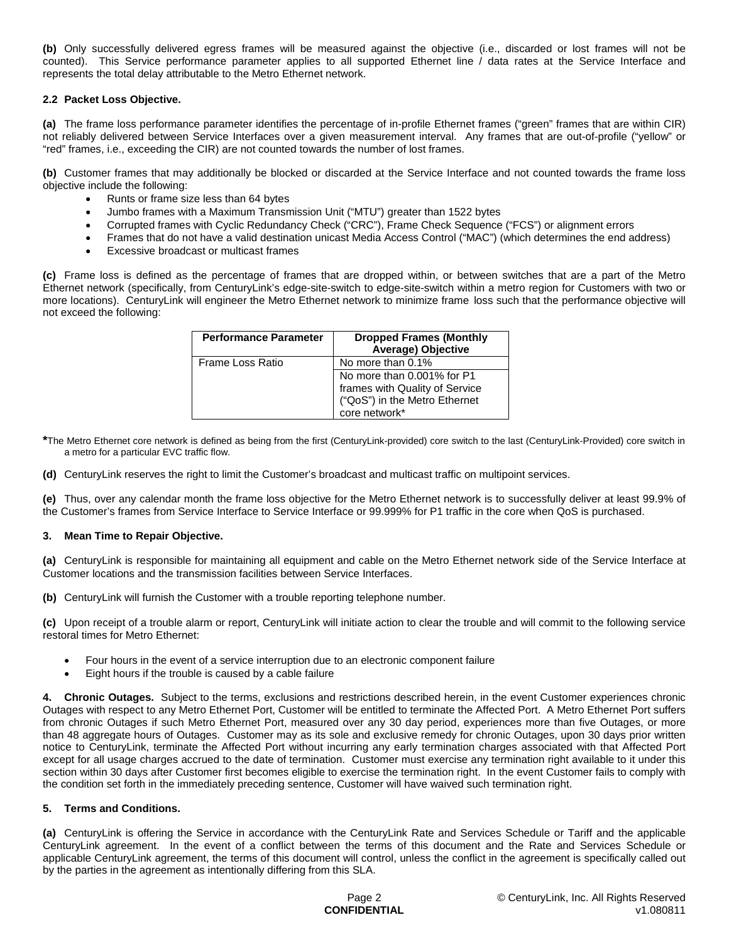**(b)** Only successfully delivered egress frames will be measured against the objective (i.e., discarded or lost frames will not be counted). This Service performance parameter applies to all supported Ethernet line / data rates at the Service Interface and represents the total delay attributable to the Metro Ethernet network.

### **2.2 Packet Loss Objective.**

**(a)** The frame loss performance parameter identifies the percentage of in-profile Ethernet frames ("green" frames that are within CIR) not reliably delivered between Service Interfaces over a given measurement interval. Any frames that are out-of-profile ("yellow" or "red" frames, i.e., exceeding the CIR) are not counted towards the number of lost frames.

**(b)** Customer frames that may additionally be blocked or discarded at the Service Interface and not counted towards the frame loss objective include the following:

- Runts or frame size less than 64 bytes
- Jumbo frames with a Maximum Transmission Unit ("MTU") greater than 1522 bytes
- Corrupted frames with Cyclic Redundancy Check ("CRC"), Frame Check Sequence ("FCS") or alignment errors
- Frames that do not have a valid destination unicast Media Access Control ("MAC") (which determines the end address)
- Excessive broadcast or multicast frames

**(c)** Frame loss is defined as the percentage of frames that are dropped within, or between switches that are a part of the Metro Ethernet network (specifically, from CenturyLink's edge-site-switch to edge-site-switch within a metro region for Customers with two or more locations). CenturyLink will engineer the Metro Ethernet network to minimize frame loss such that the performance objective will not exceed the following:

| <b>Performance Parameter</b> | <b>Dropped Frames (Monthly</b><br>Average) Objective |
|------------------------------|------------------------------------------------------|
| Frame Loss Ratio             | No more than 0.1%                                    |
|                              | No more than 0.001% for P1                           |
|                              | frames with Quality of Service                       |
|                              | ("QoS") in the Metro Ethernet                        |
|                              | core network*                                        |

**\***The Metro Ethernet core network is defined as being from the first (CenturyLink-provided) core switch to the last (CenturyLink-Provided) core switch in a metro for a particular EVC traffic flow.

**(d)** CenturyLink reserves the right to limit the Customer's broadcast and multicast traffic on multipoint services.

**(e)** Thus, over any calendar month the frame loss objective for the Metro Ethernet network is to successfully deliver at least 99.9% of the Customer's frames from Service Interface to Service Interface or 99.999% for P1 traffic in the core when QoS is purchased.

#### **3. Mean Time to Repair Objective.**

**(a)** CenturyLink is responsible for maintaining all equipment and cable on the Metro Ethernet network side of the Service Interface at Customer locations and the transmission facilities between Service Interfaces.

**(b)** CenturyLink will furnish the Customer with a trouble reporting telephone number.

**(c)** Upon receipt of a trouble alarm or report, CenturyLink will initiate action to clear the trouble and will commit to the following service restoral times for Metro Ethernet:

- Four hours in the event of a service interruption due to an electronic component failure
- Eight hours if the trouble is caused by a cable failure

**4. Chronic Outages.** Subject to the terms, exclusions and restrictions described herein, in the event Customer experiences chronic Outages with respect to any Metro Ethernet Port, Customer will be entitled to terminate the Affected Port. A Metro Ethernet Port suffers from chronic Outages if such Metro Ethernet Port, measured over any 30 day period, experiences more than five Outages, or more than 48 aggregate hours of Outages. Customer may as its sole and exclusive remedy for chronic Outages, upon 30 days prior written notice to CenturyLink, terminate the Affected Port without incurring any early termination charges associated with that Affected Port except for all usage charges accrued to the date of termination. Customer must exercise any termination right available to it under this section within 30 days after Customer first becomes eligible to exercise the termination right. In the event Customer fails to comply with the condition set forth in the immediately preceding sentence, Customer will have waived such termination right.

#### **5. Terms and Conditions.**

**(a)** CenturyLink is offering the Service in accordance with the CenturyLink Rate and Services Schedule or Tariff and the applicable CenturyLink agreement. In the event of a conflict between the terms of this document and the Rate and Services Schedule or applicable CenturyLink agreement, the terms of this document will control, unless the conflict in the agreement is specifically called out by the parties in the agreement as intentionally differing from this SLA.